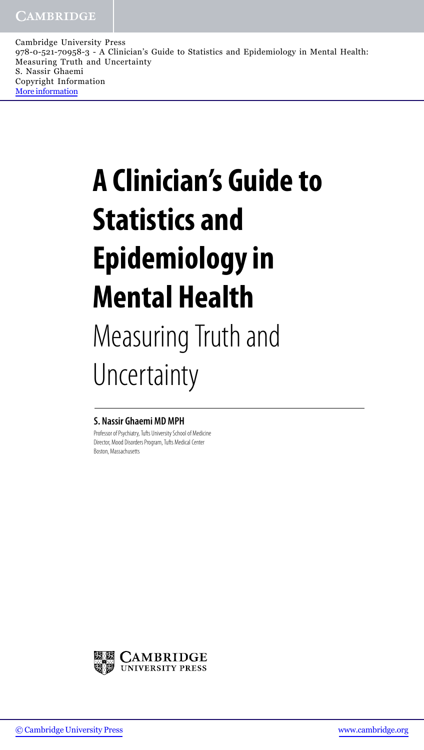Cambridge University Press 978-0-521-70958-3 - A Clinician's Guide to Statistics and Epidemiology in Mental Health: Measuring Truth and Uncertainty S. Nassir Ghaemi Copyright Information [More information](http://www.cambridge.org/9780521709583)

## **A Clinician's Guide to Statistics and Epidemiology in Mental Health** Measuring Truth and Uncertainty

## **S. Nassir Ghaemi MD MPH**

Professor of Psychiatry, Tufts University School of Medicine Director, Mood Disorders Program, Tufts Medical Center Boston, Massachusetts